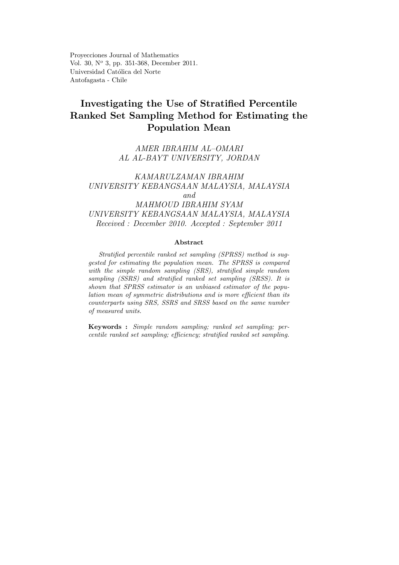Proyecciones Journal of Mathematics Vol. 30, N° 3, pp. 351-368, December 2011. Universidad Católica del Norte Antofagasta - Chile

# Investigating the Use of Stratified Percentile Ranked Set Sampling Method for Estimating the Population Mean

## AMER IBRAHIM AL—OMARI AL AL-BAYT UNIVERSITY, JORDAN

## KAMARULZAMAN IBRAHIM UNIVERSITY KEBANGSAAN MALAYSIA, MALAYSIA and MAHMOUD IBRAHIM SYAM UNIVERSITY KEBANGSAAN MALAYSIA, MALAYSIA Received : December 2010. Accepted : September 2011

#### Abstract

Stratified percentile ranked set sampling (SPRSS) method is suggested for estimating the population mean. The SPRSS is compared with the simple random sampling (SRS), stratified simple random sampling (SSRS) and stratified ranked set sampling (SRSS). It is shown that SPRSS estimator is an unbiased estimator of the population mean of symmetric distributions and is more efficient than its counterparts using SRS, SSRS and SRSS based on the same number of measured units.

Keywords : Simple random sampling; ranked set sampling; percentile ranked set sampling; efficiency; stratified ranked set sampling.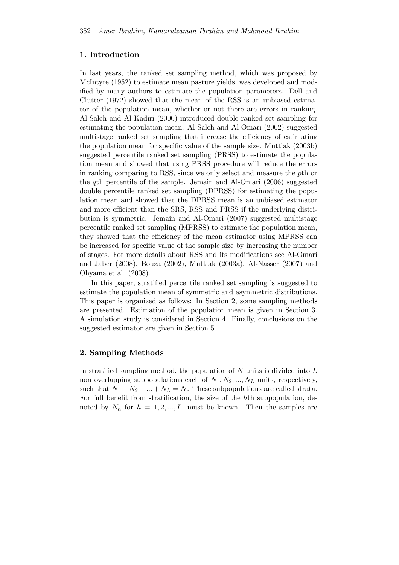## 1. Introduction

In last years, the ranked set sampling method, which was proposed by McIntyre (1952) to estimate mean pasture yields, was developed and modified by many authors to estimate the population parameters. Dell and Clutter (1972) showed that the mean of the RSS is an unbiased estimator of the population mean, whether or not there are errors in ranking. Al-Saleh and Al-Kadiri (2000) introduced double ranked set sampling for estimating the population mean. Al-Saleh and Al-Omari (2002) suggested multistage ranked set sampling that increase the efficiency of estimating the population mean for specific value of the sample size. Muttlak (2003b) suggested percentile ranked set sampling (PRSS) to estimate the population mean and showed that using PRSS procedure will reduce the errors in ranking comparing to RSS, since we only select and measure the pth or the qth percentile of the sample. Jemain and Al-Omari (2006) suggested double percentile ranked set sampling (DPRSS) for estimating the population mean and showed that the DPRSS mean is an unbiased estimator and more efficient than the SRS, RSS and PRSS if the underlying distribution is symmetric. Jemain and Al-Omari (2007) suggested multistage percentile ranked set sampling (MPRSS) to estimate the population mean, they showed that the efficiency of the mean estimator using MPRSS can be increased for specific value of the sample size by increasing the number of stages. For more details about RSS and its modifications see Al-Omari and Jaber (2008), Bouza (2002), Muttlak (2003a), Al-Nasser (2007) and Ohyama et al. (2008).

In this paper, stratified percentile ranked set sampling is suggested to estimate the population mean of symmetric and asymmetric distributions. This paper is organized as follows: In Section 2, some sampling methods are presented. Estimation of the population mean is given in Section 3. A simulation study is considered in Section 4. Finally, conclusions on the suggested estimator are given in Section 5

## 2. Sampling Methods

In stratified sampling method, the population of  $N$  units is divided into  $L$ non overlapping subpopulations each of  $N_1, N_2, ..., N_L$  units, respectively, such that  $N_1 + N_2 + ... + N_L = N$ . These subpopulations are called strata. For full benefit from stratification, the size of the hth subpopulation, denoted by  $N_h$  for  $h = 1, 2, ..., L$ , must be known. Then the samples are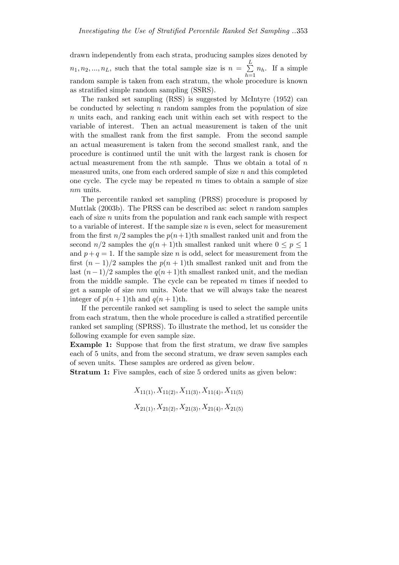drawn independently from each strata, producing samples sizes denoted by  $n_1, n_2, ..., n_L$ , such that the total sample size is  $n = \sum_{i=1}^{L}$  $\sum_{h=1}^{\infty} n_h$ . If a simple random sample is taken from each stratum, the whole procedure is known as stratified simple random sampling (SSRS).

The ranked set sampling (RSS) is suggested by McIntyre (1952) can be conducted by selecting  $n$  random samples from the population of size n units each, and ranking each unit within each set with respect to the variable of interest. Then an actual measurement is taken of the unit with the smallest rank from the first sample. From the second sample an actual measurement is taken from the second smallest rank, and the procedure is continued until the unit with the largest rank is chosen for actual measurement from the *n*th sample. Thus we obtain a total of  $n$ measured units, one from each ordered sample of size  $n$  and this completed one cycle. The cycle may be repeated  $m$  times to obtain a sample of size nm units.

The percentile ranked set sampling (PRSS) procedure is proposed by Muttlak (2003b). The PRSS can be described as: select  $n$  random samples each of size  $n$  units from the population and rank each sample with respect to a variable of interest. If the sample size  $n$  is even, select for measurement from the first  $n/2$  samples the  $p(n+1)$ th smallest ranked unit and from the second  $n/2$  samples the  $q(n + 1)$ th smallest ranked unit where  $0 \leq p \leq 1$ and  $p + q = 1$ . If the sample size n is odd, select for measurement from the first  $(n-1)/2$  samples the  $p(n+1)$ th smallest ranked unit and from the last  $(n-1)/2$  samples the  $q(n+1)$ th smallest ranked unit, and the median from the middle sample. The cycle can be repeated  $m$  times if needed to get a sample of size nm units. Note that we will always take the nearest integer of  $p(n+1)$ th and  $q(n+1)$ th.

If the percentile ranked set sampling is used to select the sample units from each stratum, then the whole procedure is called a stratified percentile ranked set sampling (SPRSS). To illustrate the method, let us consider the following example for even sample size.

Example 1: Suppose that from the first stratum, we draw five samples each of 5 units, and from the second stratum, we draw seven samples each of seven units. These samples are ordered as given below.

Stratum 1: Five samples, each of size 5 ordered units as given below:

 $X_{11(1)}, X_{11(2)}, X_{11(3)}, X_{11(4)}, X_{11(5)}$  $X_{21(1)}, X_{21(2)}, X_{21(3)}, X_{21(4)}, X_{21(5)}$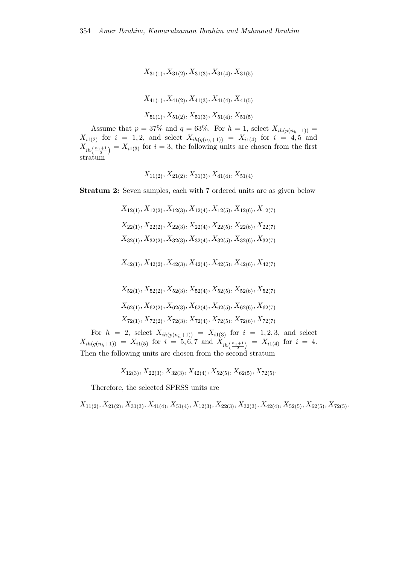$X_{31(1)}, X_{31(2)}, X_{31(3)}, X_{31(4)}, X_{31(5)}$  $X_{41(1)}, X_{41(2)}, X_{41(3)}, X_{41(4)}, X_{41(5)}$  $X_{51(1)}, X_{51(2)}, X_{51(3)}, X_{51(4)}, X_{51(5)}$ 

Assume that  $p = 37\%$  and  $q = 63\%$ . For  $h = 1$ , select  $X_{ih(p(n_h+1))} =$  $X_{i1(2)}$  for  $i = 1, 2$ , and select  $X_{ih(q(n_h+1))} = X_{i1(4)}$  for  $i = 4, 5$  and  $X_{ih\left(\frac{n_1+1}{2}\right)} = X_{i1(3)}$  for  $i = 3$ , the following units are chosen from the first stratum

$$
X_{11(2)}, X_{21(2)}, X_{31(3)}, X_{41(4)}, X_{51(4)}
$$

Stratum 2: Seven samples, each with 7 ordered units are as given below

- $X_{12(1)}, X_{12(2)}, X_{12(3)}, X_{12(4)}, X_{12(5)}, X_{12(6)}, X_{12(7)}$  $X_{22(1)}, X_{22(2)}, X_{22(3)}, X_{22(4)}, X_{22(5)}, X_{22(6)}, X_{22(7)}$  $X_{32(1)}, X_{32(2)}, X_{32(3)}, X_{32(4)}, X_{32(5)}, X_{32(6)}, X_{32(7)}$  $X_{42(1)}, X_{42(2)}, X_{42(3)}, X_{42(4)}, X_{42(5)}, X_{42(6)}, X_{42(7)}$
- $X_{52(1)}, X_{52(2)}, X_{52(3)}, X_{52(4)}, X_{52(5)}, X_{52(6)}, X_{52(7)}$  $X_{62(1)}, X_{62(2)}, X_{62(3)}, X_{62(4)}, X_{62(5)}, X_{62(6)}, X_{62(7)}$  $X_{72(1)}, X_{72(2)}, X_{72(3)}, X_{72(4)}, X_{72(5)}, X_{72(6)}, X_{72(7)}$

For  $h = 2$ , select  $X_{ih(p(n_h+1))} = X_{i1(3)}$  for  $i = 1, 2, 3$ , and select  $X_{ih(q(n_h+1))} = X_{i1(5)}$  for  $i = 5, 6, 7$  and  $X_{ih\left(\frac{n_1+1}{2}\right)} = X_{i1(4)}$  for  $i = 4$ . Then the following units are chosen from the second stratum

$$
X_{12(3)}, X_{22(3)}, X_{32(3)}, X_{42(4)}, X_{52(5)}, X_{62(5)}, X_{72(5)}.
$$

Therefore, the selected SPRSS units are

 $X_{11(2)}, X_{21(2)}, X_{31(3)}, X_{41(4)}, X_{51(4)}, X_{12(3)}, X_{22(3)}, X_{32(3)}, X_{42(4)}, X_{52(5)}, X_{62(5)}, X_{72(5)}$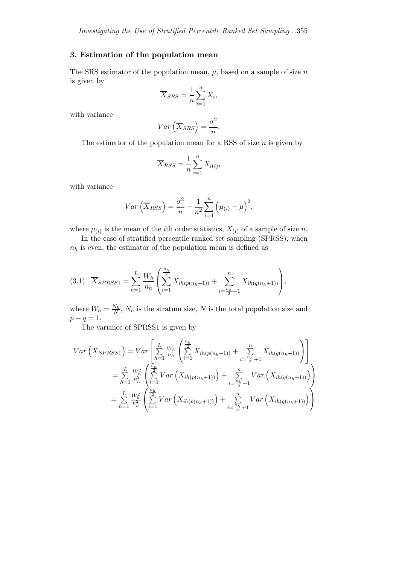## 3. Estimation of the population mean

The SRS estimator of the population mean,  $\mu$ , based on a sample of size n is given by  $\overline{r}$ 

$$
\overline{X}_{SRS} = \frac{1}{n} \sum_{i=1}^{n} X_i,
$$

with variance

$$
Var\left(\overline{X}_{SRS}\right) = \frac{\sigma^2}{n}.
$$

The estimator of the population mean for a RSS of size  $n$  is given by

$$
\overline{X}_{RSS} = \frac{1}{n} \sum_{i=1}^{n} X_{i(i)},
$$

with variance

$$
Var\left(\overline{X}_{RSS}\right) = \frac{\sigma^2}{n} - \frac{1}{n^2} \sum_{i=1}^{n} \left(\mu_{(i)} - \mu\right)^2,
$$

where  $\mu_{(i)}$  is the mean of the *i*th order statistics,  $X_{(i)}$  of a sample of size n.

In the case of stratified percentile ranked set sampling (SPRSS), when  $n_h$  is even, the estimator of the population mean is defined as

$$
(3.1) \quad \overline{X}_{SPRSS1} = \sum_{h=1}^{L} \frac{W_h}{n_h} \left( \sum_{i=1}^{\frac{n_h}{2}} X_{ih(p(n_h+1))} + \sum_{i=\frac{n_h}{2}+1}^{n} X_{ih(q(n_h+1))} \right),
$$

where  $W_h = \frac{N_h}{N}$ ,  $N_h$  is the stratum size, N is the total population size and  $p + q = 1.$ 

The variance of SPRSS1 is given by

$$
Var\left(\overline{X}_{SPRSS1}\right) = Var\left[\sum_{h=1}^{L} \frac{W_h}{n_h} \left( \sum_{i=1}^{\frac{n_h}{2}} X_{ih(p(n_h+1))} + \sum_{i=\frac{n_h}{2}+1}^{n} X_{ih(q(n_h+1))} \right) \right]
$$
  
\n
$$
= \sum_{h=1}^{L} \frac{W_h^2}{n_h^2} \left( \sum_{i=1}^{\frac{n_h}{2}} Var\left(X_{ih(p(n_h+1))}\right) + \sum_{i=\frac{n_h}{2}+1}^{n} Var\left(X_{ih(q(n_h+1))}\right) \right)
$$
  
\n
$$
= \sum_{h=1}^{L} \frac{W_h^2}{n_h^2} \left( \sum_{i=1}^{\frac{n_h}{2}} Var\left(X_{ih(p(n_h+1))}\right) + \sum_{i=\frac{n_h}{2}+1}^{n} Var\left(X_{ih(q(n_h+1))}\right) \right)
$$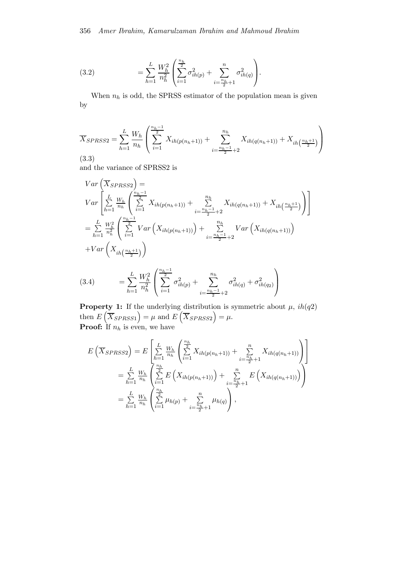(3.2) 
$$
= \sum_{h=1}^{L} \frac{W_h^2}{n_h^2} \left( \sum_{i=1}^{\frac{n_h}{2}} \sigma_{ih(p)}^2 + \sum_{i=\frac{n_h}{2}+1}^{n} \sigma_{ih(q)}^2 \right).
$$

When  $n_h$  is odd, the SPRSS estimator of the population mean is given by

$$
\overline{X}_{SPRSS2} = \sum_{h=1}^{L} \frac{W_h}{n_h} \left( \sum_{i=1}^{\frac{n_h-1}{2}} X_{ih(p(n_h+1))} + \sum_{i=\frac{n_h-1}{2}+2}^{n_h} X_{ih(q(n_h+1))} + X_{ih(\frac{n_h+1}{2})} \right)
$$
\n(3.3)

and the variance of SPRSS2 is

$$
Var\left(\overline{X}_{SPRSS2}\right) =
$$
\n
$$
Var\left[\sum_{h=1}^{L} \frac{W_h}{n_h} \left( \sum_{i=1}^{\frac{n_h-1}{2}} X_{ih(p(n_h+1))} + \sum_{i=\frac{n_h-1}{2}+2}^{n_h} X_{ih(q(n_h+1))} + X_{ih\left(\frac{n_h+1}{2}\right)} \right) \right]
$$
\n
$$
= \sum_{h=1}^{L} \frac{W_h^2}{n_h^2} \left( \sum_{i=1}^{\frac{n_h-1}{2}} Var\left(X_{ih(p(n_h+1))}\right) + \sum_{i=\frac{n_h-1}{2}+2}^{n_h} Var\left(X_{ih(q(n_h+1))}\right)
$$
\n
$$
+ Var\left(X_{ih\left(\frac{n_h+1}{2}\right)}\right)
$$
\n
$$
Var\left(X_{ih\left(\frac{n_h+1}{2}\right)}\right)
$$

(3.4) 
$$
= \sum_{h=1}^{L} \frac{W_h^2}{n_h^2} \left( \sum_{i=1}^{\frac{n_h-1}{2}} \sigma_{ih(p)}^2 + \sum_{i=\frac{n_h-1}{2}+2}^{n_h} \sigma_{ih(q)}^2 + \sigma_{ih(q)}^2 \right)
$$

**Property 1:** If the underlying distribution is symmetric about  $\mu$ ,  $ih(q2)$ then  $E\left(\overline{X}_{SPRSS1}\right) = \mu$  and  $E\left(\overline{X}_{SPRSS2}\right) = \mu$ . **Proof:** If  $n_h$  is even, we have

$$
E\left(\overline{X}_{SPRSS2}\right) = E\left[\sum_{h=1}^{L} \frac{W_h}{n_h} \left( \sum_{i=1}^{n_h} X_{ih(p(n_h+1))} + \sum_{i=\frac{n_h}{2}+1}^{n} X_{ih(q(n_h+1))} \right) \right]
$$
  
\n
$$
= \sum_{h=1}^{L} \frac{W_h}{n_h} \left( \sum_{i=1}^{n_h} E\left(X_{ih(p(n_h+1))}\right) + \sum_{i=\frac{n_h}{2}+1}^{n} E\left(X_{ih(q(n_h+1))}\right) \right)
$$
  
\n
$$
= \sum_{h=1}^{L} \frac{W_h}{n_h} \left( \sum_{i=1}^{\frac{n_h}{2}} \mu_{h(p)} + \sum_{i=\frac{n_h}{2}+1}^{n} \mu_{h(q)} \right),
$$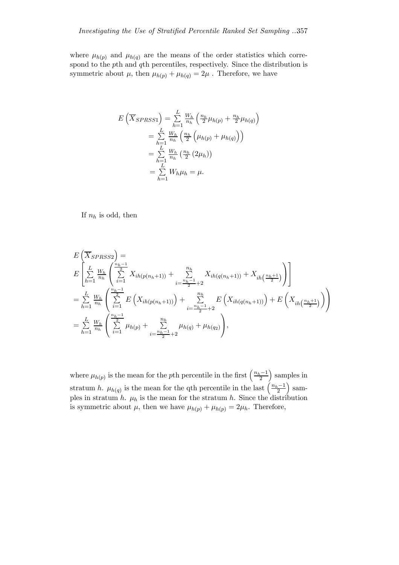where  $\mu_{h(p)}$  and  $\mu_{h(q)}$  are the means of the order statistics which correspond to the pth and qth percentiles, respectively. Since the distribution is symmetric about  $\mu$ , then  $\mu_{h(p)} + \mu_{h(q)} = 2\mu$ . Therefore, we have

$$
E\left(\overline{X}_{SPRSS1}\right) = \sum_{h=1}^{L} \frac{W_h}{n_h} \left(\frac{n_h}{2} \mu_{h(p)} + \frac{n_h}{2} \mu_{h(q)}\right)
$$
  
= 
$$
\sum_{h=1}^{L} \frac{W_h}{n_h} \left(\frac{n_h}{2} \left(\mu_{h(p)} + \mu_{h(q)}\right)\right)
$$
  
= 
$$
\sum_{h=1}^{L} \frac{W_h}{n_h} \left(\frac{n_h}{2} \left(2\mu_h\right)\right)
$$
  
= 
$$
\sum_{h=1}^{L} W_h \mu_h = \mu.
$$

If  $n_h$  is odd, then

$$
E\left(\overline{X}_{SPRSS2}\right) =
$$
\n
$$
E\left[\sum_{h=1}^{L} \frac{W_h}{n_h} \left( \sum_{i=1}^{\frac{n_h-1}{2}} X_{ih(p(n_h+1))} + \sum_{i=\frac{n_h-1}{2}+2}^{n_h} X_{ih(q(n_h+1))} + X_{ih\left(\frac{n_h+1}{2}\right)} \right) \right]
$$
\n
$$
= \sum_{h=1}^{L} \frac{W_h}{n_h} \left( \sum_{i=1}^{\frac{n_h-1}{2}} E\left(X_{ih(p(n_h+1))}\right) + \sum_{i=\frac{n_h-1}{2}+2}^{n_h} E\left(X_{ih(q(n_h+1))}\right) + E\left(X_{ih\left(\frac{n_h+1}{2}\right)}\right) \right)
$$
\n
$$
= \sum_{h=1}^{L} \frac{W_h}{n_h} \left(\sum_{i=1}^{\frac{n_h-1}{2}} \mu_{h(p)} + \sum_{i=\frac{n_h-1}{2}+2}^{n_h} \mu_{h(q)} + \mu_{h(q_2)} \right),
$$

where  $\mu_{h(p)}$  is the mean for the pth percentile in the first  $\left(\frac{n_h-1}{2}\right)$ ) samples in stratum h.  $\mu_{h(q)}$  is the mean for the qth percentile in the last  $\left(\frac{n_h-1}{2}\right)$  $\frac{1}{\text{sam}}$ ples in stratum h.  $\mu_h$  is the mean for the stratum h. Since the distribution is symmetric about  $\mu$ , then we have  $\mu_{h(p)} + \mu_{h(p)} = 2\mu_h$ . Therefore,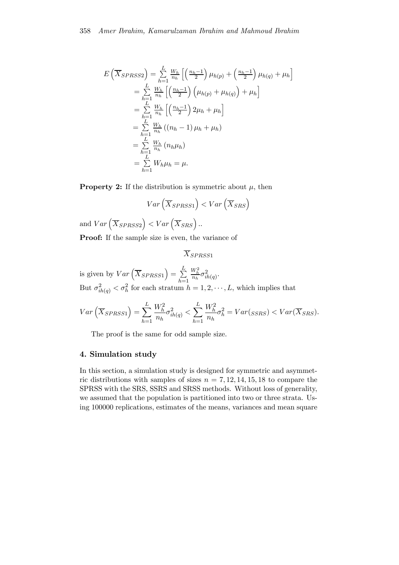$$
E\left(\overline{X}_{SPRSS2}\right) = \sum_{h=1}^{L} \frac{W_h}{n_h} \left[ \left(\frac{n_h - 1}{2}\right) \mu_{h(p)} + \left(\frac{n_h - 1}{2}\right) \mu_{h(q)} + \mu_h \right]
$$
  
\n
$$
= \sum_{h=1}^{L} \frac{W_h}{n_h} \left[ \left(\frac{n_h - 1}{2}\right) \left(\mu_{h(p)} + \mu_{h(q)}\right) + \mu_h \right]
$$
  
\n
$$
= \sum_{h=1}^{L} \frac{W_h}{n_h} \left[ \left(\frac{n_h - 1}{2}\right) 2\mu_h + \mu_h \right]
$$
  
\n
$$
= \sum_{h=1}^{L} \frac{W_h}{n_h} \left( (n_h - 1) \mu_h + \mu_h \right)
$$
  
\n
$$
= \sum_{h=1}^{L} \frac{W_h}{n_h} \left( n_h \mu_h \right)
$$
  
\n
$$
= \sum_{h=1}^{L} W_h \mu_h = \mu.
$$

**Property 2:** If the distribution is symmetric about  $\mu$ , then

$$
Var\left(\overline{X}_{SPRSS1}\right) < Var\left(\overline{X}_{SRS}\right)
$$

and  $Var\left(\overline{X}_{SPRSS2}\right) < Var\left(\overline{X}_{SRS}\right)$ .

Proof: If the sample size is even, the variance of

$$
\overline{X}_{SPRSS1}
$$

is given by  $Var\left(\overline{X}_{SPRSS1}\right) = \sum_{i=1}^{L}$  $h=1$  $\frac{W_h^2}{n_h}\sigma_{ih(q)}^2$ . But  $\sigma_{ih(q)}^2 < \sigma_h^2$  for each stratum  $h = 1, 2, \dots, L$ , which implies that

$$
Var\left(\overline{X}_{SPRSS1}\right) = \sum_{h=1}^{L} \frac{W_h^2}{n_h} \sigma_{ih(q)}^2 < \sum_{h=1}^{L} \frac{W_h^2}{n_h} \sigma_h^2 = Var(\text{SSRS}) < Var(\overline{X}_{SRS}).
$$

The proof is the same for odd sample size.

### 4. Simulation study

In this section, a simulation study is designed for symmetric and asymmetric distributions with samples of sizes  $n = 7, 12, 14, 15, 18$  to compare the SPRSS with the SRS, SSRS and SRSS methods. Without loss of generality, we assumed that the population is partitioned into two or three strata. Using 100000 replications, estimates of the means, variances and mean square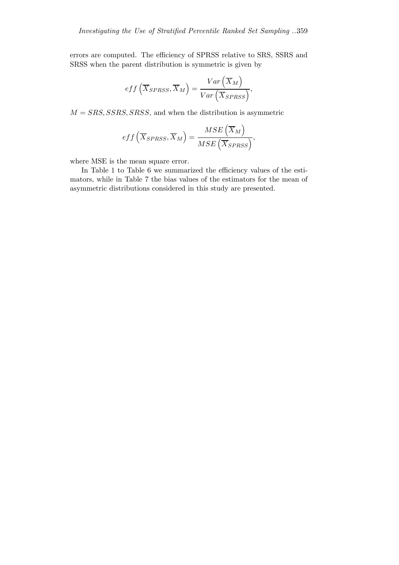errors are computed. The efficiency of SPRSS relative to SRS, SSRS and SRSS when the parent distribution is symmetric is given by

$$
eff\left(\overline{X}_{SPRSS}, \overline{X}_M\right) = \frac{Var\left(\overline{X}_M\right)}{Var\left(\overline{X}_{SPRSS}\right)},
$$

 $M = SRS, SSRS, SRSS,$  and when the distribution is asymmetric

$$
eff\left(\overline{X}_{SPRSS}, \overline{X}_M\right) = \frac{MSE\left(\overline{X}_M\right)}{MSE\left(\overline{X}_{SPRSS}\right)},
$$

where MSE is the mean square error.

In Table 1 to Table 6 we summarized the efficiency values of the estimators, while in Table 7 the bias values of the estimators for the mean of asymmetric distributions considered in this study are presented.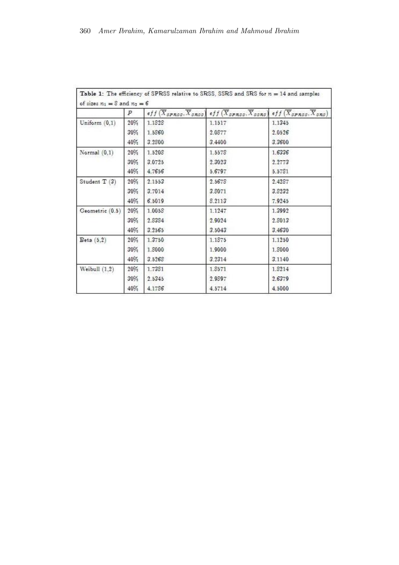|                 | Р   | $eff(X_{SPRSS},\overline{X}_{SRSS})$ | $eff(X_{SPRSS},\overline{X}_{SSRS})$ | $eff(X_{SPRSS}, X_{SRS})$ |
|-----------------|-----|--------------------------------------|--------------------------------------|---------------------------|
| Uniform $(0,1)$ | 20% | 1.1828                               | 1.1517                               | 1.1345                    |
|                 | 30% | 1.5860                               | 2.0877                               | 2.0526                    |
|                 | 40% | 3.2800                               | 3.4400                               | 3.3600                    |
| Normal $(0,1)$  | 20% | 1.5208                               | 1.5578                               | 1.6336                    |
|                 | 30% | 3.0725                               | 2.3023                               | 2.2773                    |
|                 | 40% | 4.7656                               | 5.6797                               | 5.5781                    |
| Student T (3)   | 20% | 2.1553                               | 2.5678                               | 2.4287                    |
|                 | 30% | 3.7014                               | 3.8071                               | 3.8232                    |
|                 | 40% | 6.5019                               | 8.2113                               | 7.9245                    |
| Geometric (0.5) | 20% | 1.0058                               | 1.1247                               | 1.3992                    |
|                 | 30% | 2.8384                               | 2.9024                               | 2.8013                    |
|                 | 40% | 3.2565                               | 3.5043                               | 3.4630                    |
| Beta(5,2)       | 20% | 1,3750                               | 1.1875                               | 1.1250                    |
|                 | 30% | 1.8000                               | 1,9000                               | 1.8000                    |
|                 | 40% | 3.5268                               | 3.2314                               | 3.1140                    |
| Weibull $(1,2)$ | 20% | 1.7381                               | 1.8571                               | 1.8214                    |
|                 | 30% | 2.5345                               | 2.9897                               | 2.6379                    |
|                 | 40% | 4.1786                               | 4.5714                               | 4.5000                    |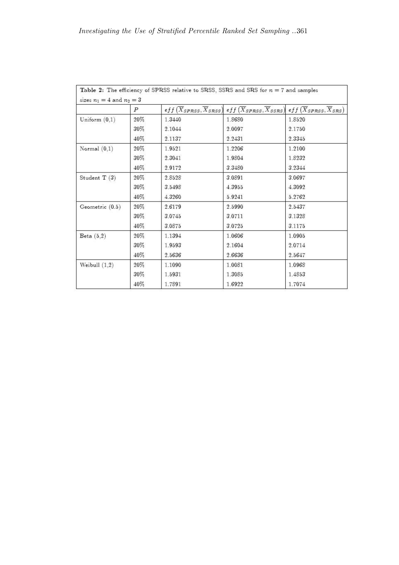|                   | $\boldsymbol{P}$ |        | $\widehat{eff(X_{SPRSS}, X_{SRSS})}$ eff $(X_{SPRSS}, X_{SSRS})$ eff $(X_{SPRSS}, X_{SRS})$ |        |
|-------------------|------------------|--------|---------------------------------------------------------------------------------------------|--------|
| Uniform $(0,1)$   | 20%              | 1.3440 | 1.8680                                                                                      | 1.8520 |
|                   | 30%              | 2.1044 | 2.0097                                                                                      | 2.1750 |
|                   | 40%              | 2.1137 | 2.2431                                                                                      | 2.3345 |
| Normal $(0,1)$    | 20%              | 1.9521 | 1.2206                                                                                      | 1.2100 |
|                   | 30%              | 2.3041 | 1.9804                                                                                      | 1.8232 |
|                   | 40%              | 2.9172 | 3.3480                                                                                      | 3.2344 |
| Student $T(3)$    | 20%              | 2.8528 | 3.0891                                                                                      | 3.0697 |
|                   | 30%              | 3.5498 | 4.3955                                                                                      | 4.3092 |
|                   | 40%              | 4.3260 | 5.9241                                                                                      | 5.2762 |
| Geometric $(0.5)$ | 20%              | 2.6179 | 2.5990                                                                                      | 2.5437 |
|                   | 30%              | 3.0745 | 3.0711                                                                                      | 3.1328 |
|                   | 40%              | 3.0875 | 3.0725                                                                                      | 3.1175 |
| Beta $(5,2)$      | 20%              | 1.1394 | 1.0606                                                                                      | 1.0905 |
|                   | 30%              | 1.9593 | 2.1604                                                                                      | 2.0714 |
|                   | 40%              | 2.5636 | 2.6636                                                                                      | 2.5647 |
| Weibull $(1,2)$   | 20%              | 1.1090 | 1.0081                                                                                      | 1.0968 |
|                   | 30%              | 1.5931 | 1.3085                                                                                      | 1.4853 |
|                   | 40%              | 1.7891 | 1.6922                                                                                      | 1.7074 |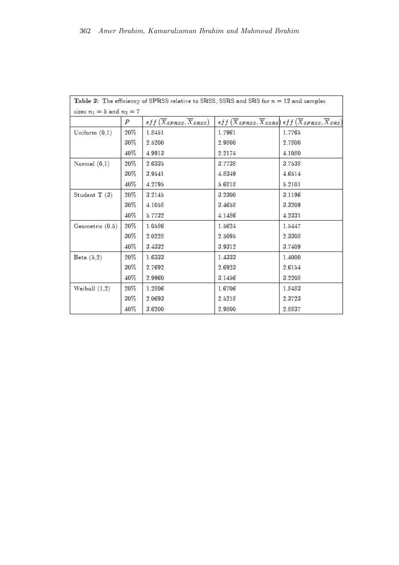|                 | Р   | $eff(\overline{X}_{SPRSS}, \overline{X}_{SRSS})$ | $_{eff}\left( \overline{X}_{SPRSS},\overline{X}_{SSRS}\right)$ eff $\left( \overline{X}_{SPRSS},\overline{X}_{SRS}\right)$ |        |
|-----------------|-----|--------------------------------------------------|----------------------------------------------------------------------------------------------------------------------------|--------|
| Uniform $(0,1)$ | 20% | 1.8451                                           | 1.7961                                                                                                                     | 1.7765 |
|                 | 30% | 2.5200                                           | 2.9800                                                                                                                     | 2.7800 |
|                 | 40% | 4.9913                                           | 2.2174                                                                                                                     | 4.1080 |
| Normal $(0,1)$  | 20% | 2.6335                                           | 3.7738                                                                                                                     | 3.7538 |
|                 | 30% | 3.9541                                           | 4.8349                                                                                                                     | 4.6514 |
|                 | 40% | 4.2795                                           | 5.6818                                                                                                                     | 5.2101 |
| Student $T(3)$  | 20% | 3.2145                                           | 3.2300                                                                                                                     | 3.1196 |
|                 | 30% | 4.1058                                           | 3.4658                                                                                                                     | 3.3209 |
|                 | 40% | 5.7732                                           | 4.1486                                                                                                                     | 4.2331 |
| Geometric (0.5) | 20% | 1.0586                                           | 1.5624                                                                                                                     | 1.5447 |
|                 | 30% | 2.0228                                           | 2.5095                                                                                                                     | 2.3308 |
|                 | 40% | 3.4332                                           | 3.9312                                                                                                                     | 3.7409 |
| Beta(5,2)       | 20% | 1.6333                                           | 1.4333                                                                                                                     | 1.4000 |
|                 | 30% | 2.7692                                           | 2.6923                                                                                                                     | 2.6154 |
|                 | 40% | 2.9960                                           | 3.1456                                                                                                                     | 3.2208 |
| Weibull $(1,2)$ | 20% | 1.2806                                           | 1.6706                                                                                                                     | 1.8483 |
|                 | 30% | 2.0693                                           | 2.5218                                                                                                                     | 2.3723 |
|                 | 40% | 3.6200                                           | 2.9800                                                                                                                     | 2.8837 |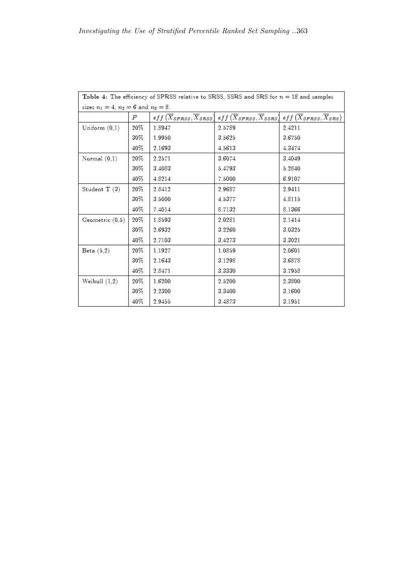| sizes $n_1 = 4$ , $n_2 = 6$ and $n_3 = 8$ . | Р   |        | $_{eff}(\overline{X}_{SPRSS}, \overline{X}_{SRSS})$ eff $(\overline{X}_{SPRSS}, \overline{X}_{SSRS})$ eff $(\overline{X}_{SPRSS}, \overline{X}_{SRS})$ |        |  |
|---------------------------------------------|-----|--------|--------------------------------------------------------------------------------------------------------------------------------------------------------|--------|--|
| Uniform $(0,1)$                             | 20% | 1.8947 | 2.5789                                                                                                                                                 | 2.4211 |  |
|                                             | 30% | 1.9950 | 3.5625                                                                                                                                                 | 3.6750 |  |
|                                             | 40% | 2.1693 | 4.5613                                                                                                                                                 | 4.3474 |  |
| Normal $(0,1)$                              | 20% | 2.2571 | 3.6074                                                                                                                                                 | 3.4049 |  |
|                                             | 30% | 3.4083 | 5.4793                                                                                                                                                 | 5.2840 |  |
|                                             | 40% | 4.8214 | 7.5000                                                                                                                                                 | 6.9107 |  |
| Student T (3)                               | 20% | 2.8412 | 2.9687                                                                                                                                                 | 2.9411 |  |
|                                             | 30% | 3.5000 | 4.5377                                                                                                                                                 | 4.8115 |  |
|                                             | 40% | 7.4014 | 8.7132                                                                                                                                                 | 8.1366 |  |
| Geometric(0.5)                              | 20% | 1.8593 | 2.0281                                                                                                                                                 | 2.1414 |  |
|                                             | 30% | 2.6932 | 3.2260                                                                                                                                                 | 3.0325 |  |
|                                             | 40% | 2.7103 | 3.4273                                                                                                                                                 | 3.3021 |  |
| Beta $(5,2)$                                | 20% | 1.1927 | 1.0859                                                                                                                                                 | 2.0601 |  |
|                                             | 30% | 2.1643 | 3.1298                                                                                                                                                 | 3.6878 |  |
|                                             | 40% | 2.8471 | 3.3330                                                                                                                                                 | 3.7958 |  |
| Weibull $(1,2)$                             | 20% | 1.6200 | 2.5200                                                                                                                                                 | 2.3800 |  |
|                                             | 30% | 2.2300 | 3.3400                                                                                                                                                 | 3.1600 |  |
|                                             | 40% | 2.9455 | 3.4873                                                                                                                                                 | 3.1951 |  |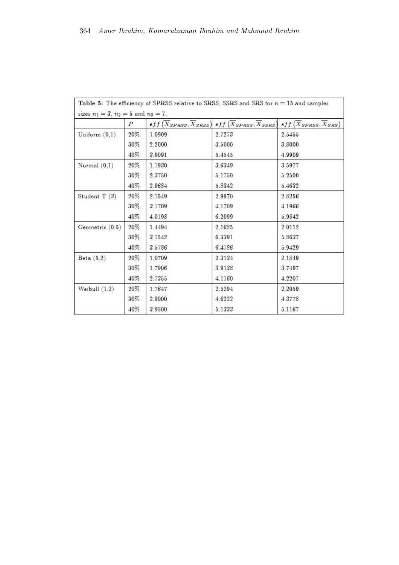|                   | Ρ   |        | $\widehat{eff(X_{SPRSS}, X_{SRSS})}$ eff $(X_{SPRSS}, X_{SSRS})$ eff $(X_{SPRSS}, X_{SRS})$ |        |  |
|-------------------|-----|--------|---------------------------------------------------------------------------------------------|--------|--|
| Uniform $(0,1)$   | 20% | 1.0909 | 2.7273                                                                                      | 2.5455 |  |
|                   | 30% | 2.2000 | 3.5000                                                                                      | 3.8000 |  |
|                   | 40% | 3.9091 | 5.4545                                                                                      | 4.9909 |  |
| Normal $(0,1)$    | 20% | 1.1930 | 3.6349                                                                                      | 3.5977 |  |
|                   | 30% | 2.3750 | 5.1750                                                                                      | 5.2500 |  |
|                   | 40% | 2.9684 | 5.8342                                                                                      | 5.4632 |  |
| Student $T(3)$    | 20% | 2.1549 | 2.9970                                                                                      | 2.8256 |  |
|                   | 30% | 3.1709 | 4.1709                                                                                      | 4.1966 |  |
|                   | 40% | 4.0198 | 6.2099                                                                                      | 5.9842 |  |
| Geometric $(0.5)$ | 20% | 1.4494 | 2.1685                                                                                      | 2.0112 |  |
|                   | 30% | 3.1542 | 6.3391                                                                                      | 5.8637 |  |
|                   | 40% | 3.5786 | 6.4786                                                                                      | 5.9429 |  |
| Beta $(5,2)$      | 20% | 1.0709 | 2.3134                                                                                      | 2.1849 |  |
|                   | 30% | 1.7906 | 3.9138                                                                                      | 3.7497 |  |
|                   | 40% | 2.7355 | 4.1160                                                                                      | 4.2207 |  |
| Weibull $(1,2)$   | 20% | 1.7647 | 2.5294                                                                                      | 2.2059 |  |
|                   | 30% | 2.9000 | 4.6222                                                                                      | 4.3778 |  |
|                   | 40% | 3.9500 | 5.1333                                                                                      | 5.1167 |  |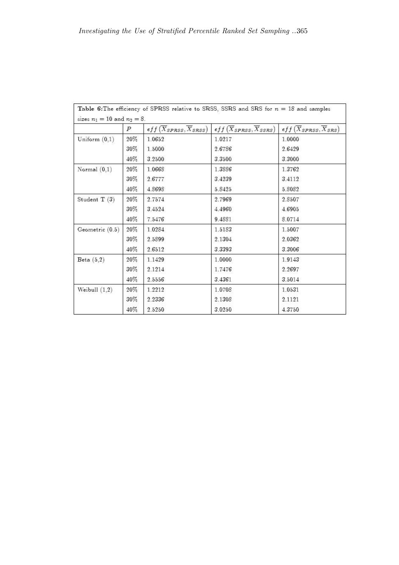|                 | $\epsilon ff(\overline{X}_{SPRSS}, \overline{X}_{SRSS})$<br>Ρ |        | $eff(\overline{X}_{SPRSS}, \overline{X}_{SSRS})$ | $eff(\overline{X}_{SPRSS}, \overline{X}_{SRS})$ |  |
|-----------------|---------------------------------------------------------------|--------|--------------------------------------------------|-------------------------------------------------|--|
| Uniform $(0,1)$ | 20%                                                           | 1.0652 | 1.0217                                           | 1.0000                                          |  |
|                 | 30%                                                           | 1.5000 | 2.6786                                           | 2.6429                                          |  |
|                 | 40%                                                           | 3.2500 | 3.3500                                           | 3.3000                                          |  |
| Normal $(0,1)$  | 20%                                                           | 1.0668 | 1.3886                                           | 1.3762                                          |  |
|                 | $30\%$                                                        | 2.6777 | 3.4239                                           | 3.4112                                          |  |
|                 | 40%                                                           | 4.8698 | 5.8425                                           | 5.8082                                          |  |
| Student $T(3)$  | 20%                                                           | 2.7574 | 2.7969                                           | 2.8507                                          |  |
|                 | $30\%$                                                        | 3.4524 | 4.4960                                           | 4.6905                                          |  |
|                 | 40%                                                           | 7.5476 | 9.4881                                           | 8.0714                                          |  |
| Geometric (0.5) | 20%                                                           | 1.0284 | 1.5183                                           | 1.5007                                          |  |
|                 | 30%                                                           | 2.5899 | 2.1304                                           | 2.0362                                          |  |
|                 | 40%                                                           | 2.6512 | 3.3393                                           | 3.3006                                          |  |
| Beta $(5,2)$    | 20%                                                           | 1.1429 | 1.0000                                           | 1.9143                                          |  |
|                 | 30%                                                           | 2.1214 | 1.7476                                           | 2.2697                                          |  |
|                 | 40%                                                           | 2.5556 | 3.4361                                           | 3.5014                                          |  |
| Weibull $(1,2)$ | 20%                                                           | 1.2212 | 1.0708                                           | 1.0531                                          |  |
|                 | $30\%$                                                        | 2.2336 | 2.1308                                           | 2.1121                                          |  |
|                 | 40%                                                           | 2.5250 | 3.0250                                           | 4.3750                                          |  |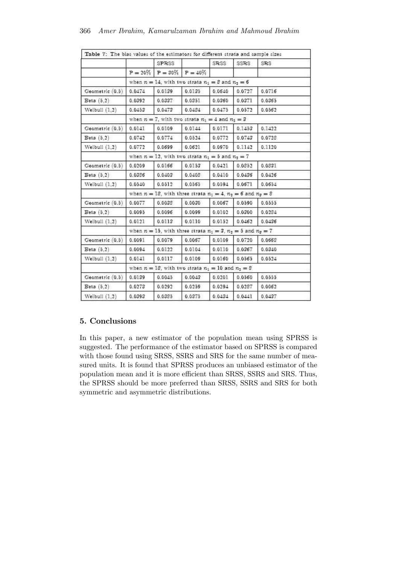|                 |                                                                       | SPRSS                            |        | SRSS   | SSRS.  | SRS    |  |
|-----------------|-----------------------------------------------------------------------|----------------------------------|--------|--------|--------|--------|--|
|                 |                                                                       | $P = 20\%$ $P = 30\%$ $P = 40\%$ |        |        |        |        |  |
|                 | when $n = 14$ , with two strata $n_1 = 8$ and $n_2 = 6$               |                                  |        |        |        |        |  |
| Geometric (0.5) | 0.0474                                                                | 0.0139                           | 0.0135 | 0.0640 | 0.0727 | 0.0716 |  |
| Beta $(5.2)$    | 0.0392                                                                | 0.0337                           | 0.0351 | 0.0360 | 0.0371 | 0.0365 |  |
| Weibull $(1,2)$ | 0.0453                                                                | 0.0473                           | 0.0484 | 0.0475 | 0.0572 | 0.0562 |  |
|                 | when $n = 7$ , with two strata $n_1 = 4$ and $n_2 = 3$                |                                  |        |        |        |        |  |
| Geometric (0.5) | 0.0141                                                                | 0.0109                           | 0.0144 | 0.0171 | 0.1453 | 0.1422 |  |
| Beta $(5,2)$    | 0.0742                                                                | 0.0774                           | 0.0524 | 0.0772 | 0.0743 | 0.0728 |  |
| Weibull $(1,2)$ | 0.0772                                                                | 0.0699                           | 0.0621 | 0.0970 | 0.1142 | 0.1120 |  |
|                 | when $n = 12$ , with two strata $n_1 = 5$ and $n_2 = 7$               |                                  |        |        |        |        |  |
| Geometric (0.5) | 0.0209                                                                | 0.0166                           | 0.0153 | 0.0421 | 0.0852 | 0.0331 |  |
| Beta $(5,2)$    | 0.0386                                                                | 0.0403                           | 0.0408 | 0.0410 | 0.0436 | 0.0426 |  |
| Weibull $(1,2)$ | 0.0540                                                                | 0.0512                           | 0.0565 | 0.0594 | 0.0671 | 0.0654 |  |
|                 | when $n = 18$ , with three strata $n_1 = 4$ , $n_2 = 6$ and $n_3 = 8$ |                                  |        |        |        |        |  |
| Geometric (0.5) | 0.0077                                                                | 0.0038                           | 0.0030 | 0.0067 | 0.0590 | 0.0555 |  |
| Beta(5,2)       | 0.0095                                                                | 0.0096                           | 0.0099 | 0.0102 | 0.0300 | 0.0284 |  |
| Weibull $(1,2)$ | 0.0121                                                                | 0.0113                           | 0.0110 | 0.0152 | 0.0462 | 0.0436 |  |
|                 | when $n = 15$ , with three strata $n_1 = 3$ , $n_2 = 5$ and $n_3 = 7$ |                                  |        |        |        |        |  |
| Geometric (0.5) | 0.0091                                                                | 0.0079                           | 0.0067 | 0.0109 | 0.0720 | 0.0668 |  |
| Beta(5.2)       | 0.0094                                                                | 0.0122                           | 0.0104 | 0.0110 | 0.0367 | 0.0340 |  |
| Weibull $(1,2)$ | 0.0141                                                                | 0.0117                           | 0.0109 | 0.0160 | 0.0565 | 0.0524 |  |
|                 | when $n = 18$ , with two strata $n_1 = 10$ and $n_2 = 8$              |                                  |        |        |        |        |  |
| Geometric (0.5) | 0.0139                                                                | 0.0045                           | 0.0043 | 0.0201 | 0.0560 | 0.0555 |  |
| Beta(6,2)       | 0.0273                                                                | 0.0292                           | 0.0259 | 0.0294 | 0.0287 | 0.0062 |  |
| Weibull $(1,2)$ | 0.0393                                                                | 0.0385                           | 0.0375 | 0.0434 | 0.0441 | 0.0437 |  |

## 5. Conclusions

In this paper, a new estimator of the population mean using SPRSS is suggested. The performance of the estimator based on SPRSS is compared with those found using SRSS, SSRS and SRS for the same number of measured units. It is found that SPRSS produces an unbiased estimator of the population mean and it is more efficient than SRSS, SSRS and SRS. Thus, the SPRSS should be more preferred than SRSS, SSRS and SRS for both symmetric and asymmetric distributions.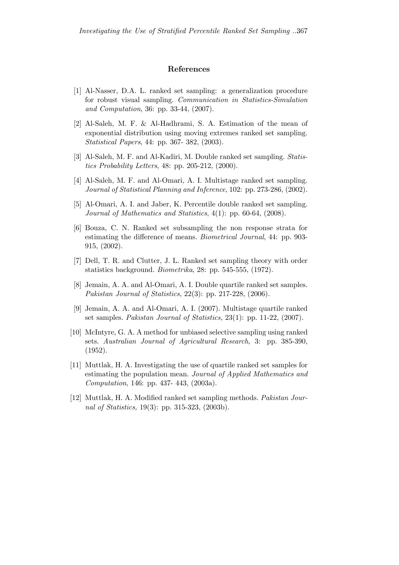#### References

- [1] Al-Nasser, D.A. L. ranked set sampling: a generalization procedure for robust visual sampling. Communication in Statistics-Simulation and Computation, 36: pp. 33-44, (2007).
- [2] Al-Saleh, M. F. & Al-Hadhrami, S. A. Estimation of the mean of exponential distribution using moving extremes ranked set sampling. Statistical Papers, 44: pp. 367- 382, (2003).
- [3] Al-Saleh, M. F. and Al-Kadiri, M. Double ranked set sampling. Statistics Probability Letters, 48: pp. 205-212, (2000).
- [4] Al-Saleh, M. F. and Al-Omari, A. I. Multistage ranked set sampling. Journal of Statistical Planning and Inference, 102: pp. 273-286, (2002).
- [5] Al-Omari, A. I. and Jaber, K. Percentile double ranked set sampling. Journal of Mathematics and Statistics, 4(1): pp. 60-64, (2008).
- [6] Bouza, C. N. Ranked set subsampling the non response strata for estimating the difference of means. Biometrical Journal, 44: pp. 903- 915, (2002).
- [7] Dell, T. R. and Clutter, J. L. Ranked set sampling theory with order statistics background. Biometrika, 28: pp. 545-555, (1972).
- [8] Jemain, A. A. and Al-Omari, A. I. Double quartile ranked set samples. Pakistan Journal of Statistics, 22(3): pp. 217-228, (2006).
- [9] Jemain, A. A. and Al-Omari, A. I. (2007). Multistage quartile ranked set samples. Pakistan Journal of Statistics, 23(1): pp. 11-22, (2007).
- [10] McIntyre, G. A. A method for unbiased selective sampling using ranked sets. Australian Journal of Agricultural Research, 3: pp. 385-390, (1952).
- [11] Muttlak, H. A. Investigating the use of quartile ranked set samples for estimating the population mean. Journal of Applied Mathematics and Computation, 146: pp. 437- 443, (2003a).
- [12] Muttlak, H. A. Modified ranked set sampling methods. Pakistan Journal of Statistics, 19(3): pp. 315-323, (2003b).